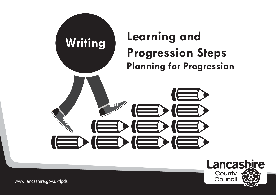



www.lancashire.gov.uk/lpds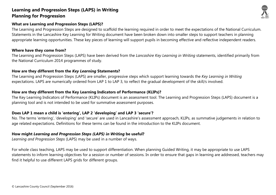#### **What are Learning and Progression Steps (LAPS)?**

The Learning and Progression Steps are designed to scaffold the learning required in order to meet the expectations of the National Curriculum. Statements in the Lancashire Key Learning for Writing document have been broken down into smaller steps to support teachers in planning appropriate learning opportunities. These key pieces of learning will support pupils in becoming effective and reflective independent readers.

#### **Where have they come from?**

The Learning and Progression Steps (LAPS) have been derived from the *Lancashire Key Learning in Writing* statements, identified primarily from the National Curriculum 2014 programmes of study.

#### **How are they different from the** *Key Learning* **Statements?**

The Learning and Progression Steps (LAPS) are smaller, progressive steps which support learning towards the *Key Learning in Writing* expectations. LAPS are numerically ordered from LAP 1 to LAP 3, to reflect the gradual development of the skill/s involved.

#### **How are they different from the Key Learning Indicators of Performance (KLIPs)?**

The Key Learning Indicators of Performance (KLIPs) document is an assessment tool. The Learning and Progression Steps (LAPS) document is a planning tool and is not intended to be used for summative assessment purposes.

#### **Does LAP 1 mean a child is 'entering', LAP 2 'developing' and LAP 3 'secure'?**

No. The terms 'entering', 'developing' and 'secure' are used in Lancashire's assessment approach, KLIPs, as summative judgements in relation to age related expectations. Definitions for these terms can be found in the introduction to the KLIPs document.

#### **How might** *Learning and Progression Steps (LAPS) in Writing* **be useful?**

*Learning and Progression Steps* (LAPS) may be used in a number of ways.

For whole class teaching, LAPS may be used to support differentiation. When planning Guided Writing, it may be appropriate to use LAPS statements to inform learning objectives for a session or number of sessions. In order to ensure that gaps in learning are addressed, teachers may find it helpful to use different LAPS grids for different groups.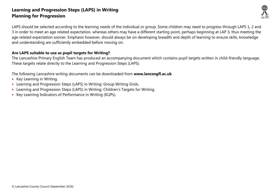

LAPS should be selected according to the learning needs of the individual or group. Some children may need to progress through LAPS 1, 2 and 3 in order to meet an age related expectation, whereas others may have a different starting point, perhaps beginning at LAP 3, thus meeting the age related expectation sooner. Emphasis however, should always be on developing breadth and depth of learning to ensure skills, knowledge and understanding are sufficiently embedded before moving on.

#### **Are LAPS suitable to use as pupil targets for Writing?**

The Lancashire Primary English Team has produced an accompanying document which contains pupil targets written in child-friendly language. These targets relate directly to the Learning and Progression Steps (LAPS).

The following Lancashire writing documents can be downloaded from **www.lancsngfl.ac.uk**

- Key Learning in Writing.
- Learning and Progression Steps (LAPS) in Writing: Group Writing Grids.
- Learning and Progression Steps (LAPS) in Writing: Children's Targets for Writing.
- Key Learning Indicators of Performance in Writing (KLIPs).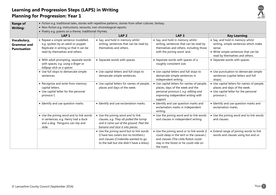

| <b>Range of</b><br><b>Writing:</b>                      | • Fiction e.g. traditional tales, stories with repetitive patterns, stories from other cultures, fantasy.<br>• Non-fiction e.g. instructions, recounts, non-chronological reports.<br>• Poetry e.g. poems on a theme, traditional rhymes. |                                                                                                                                                                        |                                                                                                                                                                                        |                                                                                                                                                              |
|---------------------------------------------------------|-------------------------------------------------------------------------------------------------------------------------------------------------------------------------------------------------------------------------------------------|------------------------------------------------------------------------------------------------------------------------------------------------------------------------|----------------------------------------------------------------------------------------------------------------------------------------------------------------------------------------|--------------------------------------------------------------------------------------------------------------------------------------------------------------|
|                                                         | LAP <sub>1</sub>                                                                                                                                                                                                                          | LAP <sub>2</sub>                                                                                                                                                       | LAP <sub>3</sub>                                                                                                                                                                       | <b>Key Learning</b>                                                                                                                                          |
| Vocabulary,<br><b>Grammar and</b><br><b>Punctuation</b> | • Repeat a simple sentence modelled,<br>e.g. spoken by an adult or puppet.<br>Replicate in writing so that it can be<br>read by themselves and others.                                                                                    | • Say, and hold in memory whilst<br>writing, sentences that can be read by<br>themselves and others.                                                                   | • Say, and hold in memory whilst<br>writing, sentences that can be read by<br>themselves and others, including those<br>with the joining word 'and.                                    | • Say, and hold in memory whilst<br>writing, simple sentences which make<br>sense.<br>• Write simple sentences that can be<br>read by themselves and others. |
|                                                         | • With adult prompting, separate words<br>with spaces, e.g. using a finger or<br>lollipop stick as a spacer.                                                                                                                              | • Separate words with spaces.                                                                                                                                          | • Separate words with spaces of a<br>roughly consistent size.                                                                                                                          | • Separate words with spaces.                                                                                                                                |
|                                                         | • Use full stops to demarcate simple<br>sentences.                                                                                                                                                                                        | • Use capital letters and full stops to<br>demarcate simple sentences.                                                                                                 | • Use capital letters and full stops to<br>demarcate simple sentences in<br>independent writing.                                                                                       | • Use punctuation to demarcate simple<br>sentences (capital letters and full<br>stops).                                                                      |
|                                                         | • Recognise and write from memory<br>capital letters.<br>• Use capital letter for the personal<br>pronoun I.                                                                                                                              | • Use capital letters for names of people,<br>places and days of the week.                                                                                             | • Use capital letters for names of people,<br>places, days of the week and the<br>personal pronoun I, e.g. editing and<br>improving independent writing with<br>support.               | • Use capital letters for names of people,<br>places and days of the week.<br>• Use capital letter for the personal<br>pronoun I.                            |
|                                                         | • Identify and use question marks.                                                                                                                                                                                                        | • Identify and use exclamation marks.                                                                                                                                  | • Identify and use question marks and<br>exclamation marks in independent<br>writing.                                                                                                  | • Identify and use question marks and<br>exclamation marks.                                                                                                  |
|                                                         | • Use the joining word and to link words<br>in sentences, e.g. Henry had a duck<br>and a dog. Penguins can slip and<br>slide.                                                                                                             | • Use the joining word and to link<br>clauses, e.g. They all pulled the turnip<br>and it came out of the ground. Peel the<br>banana and slice it into pieces.          | • Use the joining word and to link words<br>and clauses in independent writing.                                                                                                        | • Use the joining word and to link words<br>and clauses.                                                                                                     |
|                                                         |                                                                                                                                                                                                                                           | • Use the joining word but to link words<br>(I have two sisters but no brothers.)<br>and clauses (Cinderella wanted to go<br>to the ball but she didn't have a dress). | • Use the joining word or to link words (I<br>could sleep in the tent or the caravan.)<br>and clauses (The Little Robot could<br>stay in the forest or he could ride on<br>the train). | • Extend range of joining words to link<br>words and clauses using but and or.                                                                               |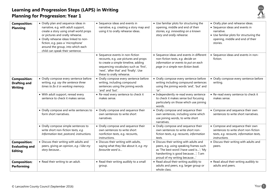

| <b>Composition:</b><br><b>Planning</b>                         | • Orally plan and sequence ideas in<br>narrative, e.g. with adult support,<br>create a story using small world props<br>or pictures and orally rehearse.<br>• Orally rehearse ideas linked to non-<br>fiction, e.g. pass a 'microphone'<br>around the group, into which each<br>child can speak their sentence. | • Sequence ideas and events in<br>narrative, e.g. creating a story map and<br>using it to orally rehearse ideas.                                                                                                                   | • Use familiar plots for structuring the<br>opening, middle and end of their<br>stories, e.g. innovating on a known<br>story and orally rehearse.                                                  | • Orally plan and rehearse ideas.<br>• Sequence ideas and events in<br>narrative.<br>• Use familiar plots for structuring the<br>opening, middle and end of their<br>stories. |
|----------------------------------------------------------------|-----------------------------------------------------------------------------------------------------------------------------------------------------------------------------------------------------------------------------------------------------------------------------------------------------------------|------------------------------------------------------------------------------------------------------------------------------------------------------------------------------------------------------------------------------------|----------------------------------------------------------------------------------------------------------------------------------------------------------------------------------------------------|-------------------------------------------------------------------------------------------------------------------------------------------------------------------------------|
|                                                                |                                                                                                                                                                                                                                                                                                                 | • Sequence events in non-fiction<br>recounts, e.g. use pictures and props<br>to create a simple timeline, adding<br>sequencing vocabulary such as 'first',<br>'next', 'after that' and 'finally'. Use<br>these to orally rehearse. | • Sequence ideas and events in different<br>non-fiction texts, e.g. decide on<br>information or events to put on each<br>page in a simple non-fiction book.                                        | • Sequence ideas and events in non-<br>fiction.                                                                                                                               |
| <b>Composition:</b><br><b>Drafting and</b><br><b>Writing</b>   | • Orally compose every sentence before<br>writing, e.g. say the sentence three<br>times to fix it in working memory.                                                                                                                                                                                            | • Orally compose every sentence before<br>writing, including compound<br>sentences using the joining words<br>'and' and 'but'.                                                                                                     | • Orally compose every sentence before<br>writing including compound sentences<br>using the joining words 'and', 'but' and<br>'or'.                                                                | • Orally compose every sentence before<br>writing.                                                                                                                            |
|                                                                | • With adult support, reread every<br>sentence to check it makes sense.                                                                                                                                                                                                                                         | • Re-read every sentence to check it<br>makes sense.                                                                                                                                                                               | • Independently re-read every sentence<br>to check it makes sense but focusing<br>particularly on those which use joining<br>words.                                                                | • Re-read every sentence to check it<br>makes sense.                                                                                                                          |
|                                                                | • Orally compose and write sentences to<br>form short narratives.                                                                                                                                                                                                                                               | • Orally compose and sequence their<br>own sentences to write short<br>narratives.                                                                                                                                                 | • Orally compose and sequence their<br>own sentences, including some which<br>use joining words, to write short<br>narratives.                                                                     | • Compose and sequence their own<br>sentences to write short narratives.                                                                                                      |
|                                                                | • Orally compose simple sentences to<br>write short non-fiction texts, e.g.<br>Information text, postcard, instructions.                                                                                                                                                                                        | • Orally compose and sequence their<br>own sentences to write short<br>nonfiction texts, e.g. recounts,<br>instructions.                                                                                                           | • Orally compose and sequence their<br>own sentences to write short non-<br>fiction texts, e.g. recounts, information<br>texts.                                                                    | • Compose and sequence their own<br>sentences to write short non-fiction<br>texts, e.g. recounts, information texts,<br>instructions.                                         |
| <b>Composition:</b><br><b>Evaluating and</b><br><b>Editing</b> | • Discuss their writing with adults and<br>peers, giving an opinion, e.g. I like my<br>story because                                                                                                                                                                                                            | • Discuss their writing with adults,<br>saying what they like about it, e.g. my<br>favourite word is                                                                                                                               | • Discuss their writing with adults and<br>peers, e.g. using speaking frames such<br>as 'The best word I have used is'; 'My<br>handwriting is good because'; 'I am<br>proud of my writing because' | • Discuss their writing with adults and<br>peers.                                                                                                                             |
| <b>Composition:</b><br><b>Performing</b>                       | • Read their writing to an adult.                                                                                                                                                                                                                                                                               | • Read their writing audibly to a small<br>group.                                                                                                                                                                                  | • Read aloud their writing audibly to<br>adults and peers, e.g. larger group or<br>whole class.                                                                                                    | • Read aloud their writing audibly to<br>adults and peers.                                                                                                                    |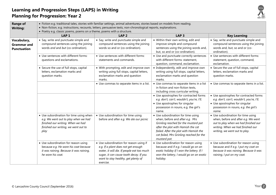

| <b>Range of</b><br><b>Writing:</b>                      | • Fiction e.g. traditional tales, stories with familiar settings, animal adventures, stories based on models from reading.<br>• Non-fiction, e.g. instructions, recounts, letters, persuasive texts, non-chronological reports, explanations.<br>• Poetry e.g. classic poems, poems on a theme, poems with a structure. |                                                                                                                                                                                                                             |                                                                                                                                                                                                                                                           |                                                                                                                                                                                         |  |
|---------------------------------------------------------|-------------------------------------------------------------------------------------------------------------------------------------------------------------------------------------------------------------------------------------------------------------------------------------------------------------------------|-----------------------------------------------------------------------------------------------------------------------------------------------------------------------------------------------------------------------------|-----------------------------------------------------------------------------------------------------------------------------------------------------------------------------------------------------------------------------------------------------------|-----------------------------------------------------------------------------------------------------------------------------------------------------------------------------------------|--|
|                                                         | LAP <sub>1</sub>                                                                                                                                                                                                                                                                                                        | LAP <sub>2</sub>                                                                                                                                                                                                            | LAP <sub>3</sub>                                                                                                                                                                                                                                          | <b>Key Learning</b>                                                                                                                                                                     |  |
| Vocabulary,<br><b>Grammar</b> and<br><b>Punctuation</b> | • Say, write and punctuate simple and<br>compound sentences using the joining<br>words and and but (co-ordination).                                                                                                                                                                                                     | • Say, write and punctuate simple and<br>compound sentences using the joining<br>words so and or (co-ordination).                                                                                                           | • Within their own writing, edit and<br>improve simple and compound<br>sentences using the joining words and,<br>but, so and or (co-ordination).                                                                                                          | • Say, write and punctuate simple and<br>compound sentences using the joining<br>words and, but, so and or (co-<br>ordination).                                                         |  |
|                                                         | • Use sentences with different forms:<br>questions and exclamations.                                                                                                                                                                                                                                                    | • Use sentences with different forms:<br>statements and commands.                                                                                                                                                           | • Use and punctuate correctly sentences<br>with different forms: statement,<br>question, command, exclamation.                                                                                                                                            | • Use sentences with different forms:<br>statement, question, command,<br>exclamation.                                                                                                  |  |
|                                                         | • Secure the use of full stops, capital<br>letters, exclamation marks and<br>question marks.                                                                                                                                                                                                                            | • With prompting, edit and improve own<br>writing using full stops, capital letters,<br>exclamation marks and question<br>marks.                                                                                            | • Independently, edit and improve own<br>writing using full stops, capital letters,<br>exclamation marks and question<br>marks.                                                                                                                           | • Secure the use of full stops, capital<br>letters, exclamation marks and<br>question marks.                                                                                            |  |
|                                                         |                                                                                                                                                                                                                                                                                                                         | • Use commas to separate items in a list.                                                                                                                                                                                   | • Use commas to separate items in a list<br>in fiction and non-fiction texts,<br>including cross curricular writing.                                                                                                                                      | • Use commas to separate items in a list.                                                                                                                                               |  |
|                                                         |                                                                                                                                                                                                                                                                                                                         |                                                                                                                                                                                                                             | • Use apostrophes for contracted forms<br>e.g. don't, can't, wouldn't, you're, I'll.<br>• Use apostrophes for singular<br>possession in nouns, e.g. the girl's<br>name.                                                                                   | • Use apostrophes for contracted forms<br>e.g. don't, can't, wouldn't, you're, I'll.<br>• Use apostrophes for singular<br>possession in nouns, e.g. the girl's<br>name.                 |  |
|                                                         | • Use subordination for time using when<br>e.g. We went out to play when we had<br>finished our writing. When we had<br>finished our writing, we went out to<br>play                                                                                                                                                    | • Use subordination for time using<br>before and after e.g. We ate our picnic                                                                                                                                               | • Use subordination for time using<br>when, before and after e.g. Mrs<br>Grinling reached for the mustard pot<br>after the plot with Hamish the cat<br>failed. After the plot with Hamish the<br>cat failed, Mrs Grinling reached for the<br>mustard pot. | • Use subordination for time using<br>when, before and after e.g. We went<br>out to play when we had finished our<br>writing. When we had finished our<br>writing, we went out to play. |  |
|                                                         | • Use subordination for reason using<br>because e.g. He wore his coat because<br>it was raining. Because it was raining,<br>he wore his coat.                                                                                                                                                                           | • Use subordination for reason using if<br>e.g. If a plant does not get enough<br>water, it will die. If people eat too much<br>sugar, it can cause tooth decay. If you<br>want to stay healthy, get plenty of<br>exercise. | • Use subordination for reason using<br>because and if e.g. I would go on an<br>exotic holiday if I won the lottery. If I<br>won the lottery, I would go on an exotic<br>holiday.                                                                         | • Use subordination for reason using<br>because and if e.g. I put my coat on<br>because it was raining. Because it was<br>raining, I put on my coat.                                    |  |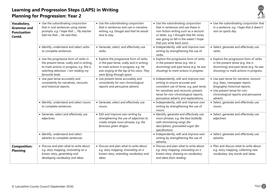

| Vocabulary,<br><b>Grammar</b> and<br><b>Punctuation</b><br>Contd. | • Use the subordinating conjunction<br>that in oral sentences using starter<br>prompts, e.g. I hope that ; My teacher<br>told me that; He said that                                        | • Use the subordinating conjunction<br>that in sentences and use in narrative<br>writing, e.g. Dougal said that he would<br>love to stay.                                                               | • Use the subordinating conjunction<br>that in sentences and use these in<br>non-fiction writing such as a recount<br>or letter, e.g. I thought that Mr Jones<br>was going to fall in the water! I hope<br>that you write back soon.        | • Use the subordinating conjunction that<br>in a sentence, e.g. I hope that it doesn't<br>rain on sports day.                                                                                   |
|-------------------------------------------------------------------|--------------------------------------------------------------------------------------------------------------------------------------------------------------------------------------------|---------------------------------------------------------------------------------------------------------------------------------------------------------------------------------------------------------|---------------------------------------------------------------------------------------------------------------------------------------------------------------------------------------------------------------------------------------------|-------------------------------------------------------------------------------------------------------------------------------------------------------------------------------------------------|
|                                                                   | • Identify, understand and select verbs<br>to complete sentences.                                                                                                                          | • Generate, select, and effectively use<br>verbs.                                                                                                                                                       | • Independently, edit and improve own<br>writing by strengthening the use of<br>verbs.                                                                                                                                                      | • Select, generate and effectively use<br>verbs.                                                                                                                                                |
|                                                                   | • Use the progressive form of verbs in<br>the present tense, orally and in writing,<br>to mark actions in progress, e.g. She is<br>watching television. I am reading my<br>favourite book. | • Explore the progressive form of verbs<br>in the past tense, orally and in writing,<br>to mark actions in progress, e.g. He<br>was singing at the top of his voice. They<br>were flying through space. | • Explore the progressive form of verbs<br>in the present tense (e.g. she is<br>drumming) and past tense (e.g. he was<br>shouting) to mark actions in progress                                                                              | • Explore the progressive form of verbs<br>in the present tense (e.g. she is<br>drumming) and past tense (e.g. he was<br>shouting) to mark actions in progress.                                 |
|                                                                   | • Use past tense accurately and<br>consistently for narratives, recounts<br>and historical reports.                                                                                        | • Use present tense accurately and<br>consistently for non-chronological<br>reports and persuasive adverts.                                                                                             | • Independently, edit and improve own<br>writing to ensure accurate and<br>consistent use of tense, e.g. past tense<br>for narratives and recounts; present<br>tense for non-chronological reports,<br>persuasive adverts and explanations. | • Use past tense for narrative, recount<br>(e.g. diary, newspaper report,<br>biography) historical reports.<br>• Use present tense for non-<br>chronological reports and persuasive<br>adverts. |
|                                                                   | • Identify, understand and select nouns<br>to complete sentences.                                                                                                                          | • Generate, select and effectively use<br>nouns.                                                                                                                                                        | • Independently, edit and improve own<br>writing by strengthening the use of<br>nouns.                                                                                                                                                      | • Select, generate and effectively use<br>nouns.                                                                                                                                                |
|                                                                   | • Generate, select and effectively use<br>adjectives.                                                                                                                                      | • Edit and improve own writing by<br>strengthening the use of adjectives to<br>create simple noun phrases, e.g. the<br>ferocious green dragon.                                                          | • Identify, generate and effectively use<br>noun phrases, e.g. the blue butterfly<br>with shimmering wings (for<br>description), granulated sugar (for<br>specification).                                                                   | • Select, generate and effectively use<br>adjectives                                                                                                                                            |
|                                                                   | • Identify, understand and select<br>adverbs to complete sentences.                                                                                                                        |                                                                                                                                                                                                         | • Independently, edit and improve own<br>writing by strengthening the use of<br>adverbs.                                                                                                                                                    | • Select, generate and effectively use<br>adverbs.                                                                                                                                              |
| <b>Composition:</b><br><b>Planning</b>                            | • Discuss and plan what to write about<br>e.g. story mapping, innovating on a<br>known story, generating and<br>developing vocabulary and ideas.                                           | • Discuss and plan what to write about<br>e.g. story mapping, innovating on a<br>known story, extending vocabulary and<br>ideas.                                                                        | • Discuss and plan what to write about<br>e.g. story mapping, innovating on a<br>known story, drawing on vocabulary<br>and ideas from reading.                                                                                              | . Plan and discuss what to write about<br>e.g. story mapping, collecting new<br>vocabulary, key words and ideas.                                                                                |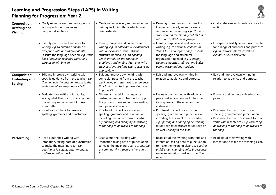

| <b>Composition:</b><br><b>Drafting and</b><br><b>Writing</b>   | • Orally rehearse each sentence prior to<br>writing including simple and<br>compound sentences.                                                                                                                                    | • Orally rehearse every sentence before<br>writing, including those which have<br>been extended.                                                                                                                                                                                                     | • Drawing on sentence structures from<br>known texts, orally rehearse every<br>sentence before writing, e.g. This is a<br>story about a rat. Not any old rat but a<br>rat who travelled the highway!                                                                       | • Orally rehearse each sentence prior to<br>writing.                                                                                                                                                                   |
|----------------------------------------------------------------|------------------------------------------------------------------------------------------------------------------------------------------------------------------------------------------------------------------------------------|------------------------------------------------------------------------------------------------------------------------------------------------------------------------------------------------------------------------------------------------------------------------------------------------------|----------------------------------------------------------------------------------------------------------------------------------------------------------------------------------------------------------------------------------------------------------------------------|------------------------------------------------------------------------------------------------------------------------------------------------------------------------------------------------------------------------|
|                                                                | • Identify purpose and audience for<br>writing, e.g. to entertain children in<br>Reception with our traditional tales.<br>Discuss the language needed, e.g. story<br>book language; repeated words and<br>phrases to join in with. | • Identify purpose and audience for<br>writing, e.g. to entertain our classmates<br>with our explorer stories. Discuss<br>structure needed, e.g. an opening<br>which introduces the character,<br>problem/s and ending. Plan and write<br>clear sections, drafting short sections as<br>appropriate. | • Identify purpose and audience for<br>writing, e.g. to persuade children in<br>Year 1 to visit our farm shop. Discuss<br>the language and structural<br>organisation needed, e.g. a snappy<br>slogan, a question, alliteration, bullet<br>points, exclamations, captions. | • Use specific text type features to write<br>for a range of audiences and purposes<br>e.g. to instruct, inform, entertain,<br>explain, discuss, persuade.                                                             |
| <b>Composition:</b><br><b>Evaluating and</b><br><b>Editing</b> | • Edit and improve own writing with<br>specific guidance from the teacher, e.g.<br>Can you add the question marks to the<br>sentences where they are needed?                                                                       | • Edit and improve own writing with<br>some signposting from the teacher,<br>e.g. I have put a star next to a sentence<br>that I think can be improved. Can you<br>improve it?                                                                                                                       | • Edit and improve own writing in<br>relation to audience and purpose.                                                                                                                                                                                                     | • Edit and improve own writing in<br>relation to audience and purpose.                                                                                                                                                 |
|                                                                | • Evaluate their writing with adults,<br>saying what they think is good about<br>the writing and what might make it<br>even better.                                                                                                | • Discuss and establish a response<br>partner agreement. Use this to support<br>the process of evaluating their writing<br>with peers and adults.                                                                                                                                                    | • Evaluate their writing with adults and<br>peers. Reflect on how well it has met<br>its purpose and the effect on the<br>audience.                                                                                                                                        | • Evaluate their writing with adults and<br>peers.                                                                                                                                                                     |
|                                                                | • Proofread to check for errors in<br>spelling, grammar and punctuation.                                                                                                                                                           | • Proofread to check for errors in<br>spelling, grammar and punctuation,<br>including the correct form of verbs,<br>e.g. spotting and changing he walking<br>to the shop to he walked to the shop.                                                                                                   | • Proofread to check for errors in<br>spelling, grammar and punctuation,<br>including the correct form of verbs,<br>e.g. spotting and changing he walking<br>to the shop to he walked to the shop or<br>he was walking to the shop.                                        | • Proofread to check for errors in<br>spelling, grammar and punctuation.<br>• Proofread to check for correct form of<br>verbs within sentences, e.g. correcting<br>he walking to the shop to he walked to<br>the shop. |
| <b>Performing</b>                                              | • Read aloud their writing with<br>intonation, taking note of punctuation<br>to make the meaning clear, e.g.<br>pausing at full stops, question marks<br>and exclamation marks.                                                    | • Read aloud their writing with<br>intonation taking note of punctuation<br>to make the meaning clear e.g. pausing<br>at commas which separate items in a<br>list.                                                                                                                                   | • Read aloud their writing with tone and<br>intonation, taking note of punctuation<br>to make the meaning clear e.g. pausing<br>at full stops, changing voice in response<br>to an exclamation mark and question<br>mark.                                                  | • Read aloud their writing with<br>intonation to make the meaning clear.                                                                                                                                               |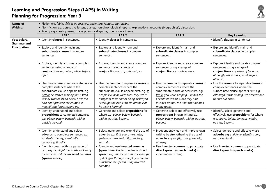

| <b>Range of</b><br><b>Writing:</b> | • Fiction e.g. fables, folk tales, mystery, adventure, fantasy, play scripts.<br>· Non-fiction e.g. persuasive letters, diaries, non-chronological reports, explanations, recounts (biographies), discussion.                                                         |                                                                                                                                                                                                                                                                           |                                                                                                                                                                                                                                                     |                                                                                                                                                                                  |
|------------------------------------|-----------------------------------------------------------------------------------------------------------------------------------------------------------------------------------------------------------------------------------------------------------------------|---------------------------------------------------------------------------------------------------------------------------------------------------------------------------------------------------------------------------------------------------------------------------|-----------------------------------------------------------------------------------------------------------------------------------------------------------------------------------------------------------------------------------------------------|----------------------------------------------------------------------------------------------------------------------------------------------------------------------------------|
|                                    | • Poetry e.g. classic poems, shape poems, calligrams, poems on a theme.<br>LAP <sub>1</sub>                                                                                                                                                                           | LAP <sub>2</sub>                                                                                                                                                                                                                                                          | LAP <sub>3</sub>                                                                                                                                                                                                                                    | <b>Key Learning</b>                                                                                                                                                              |
| Vocabulary,<br><b>Grammar and</b>  | • Identify clauses in sentences.                                                                                                                                                                                                                                      | • Identify clauses in sentences.                                                                                                                                                                                                                                          |                                                                                                                                                                                                                                                     | • Identify clauses in sentences.                                                                                                                                                 |
| <b>Punctuation</b>                 | • Explore and identify main and<br>subordinate clauses in complex<br>sentences.                                                                                                                                                                                       | • Explore and identify main and<br>subordinate clauses in complex<br>sentences.                                                                                                                                                                                           | • Explore and identify main and<br>subordinate clauses in complex<br>sentences.                                                                                                                                                                     | • Explore and identify main and<br>subordinate clauses in complex<br>sentences.                                                                                                  |
|                                    | • Explore, identify and create complex<br>sentences using a range of<br>conjunctions e.g. when, while, before,<br>after.                                                                                                                                              | • Explore, identify and create complex<br>sentences using a range of<br>conjunctions e.g. if, although, so.                                                                                                                                                               | • Explore, identify and create complex<br>sentences using a range of<br>conjunctions e.g. while, since.                                                                                                                                             | • Explore, identify and create complex<br>sentences using a range of<br>conjunctions e.g. when, if because,<br>although, while, since, until, before,<br>after, so.              |
|                                    | • Use the comma to separate clauses in<br>complex sentences where the<br>subordinate clause appears first, e.g.<br>Before he started making films, Walt<br>Disney worked as an artist. After the<br>bird had sprinkled the crumbs, a<br>magnificent forest sprang up. | • Use the comma to separate clauses in<br>complex sentences where the<br>subordinate clause appears first, e.g. If<br>people live near volcanoes, they are in<br>danger of their homes being destroyed.<br>Although the Iron Man fell off the cliff,<br>he wasn't harmed. | • Use the comma to separate clauses in<br>complex sentences where the<br>subordinate clause appears first, e.g.<br>While you were sleeping, I visited the<br>Enchanted Wood. Since they had<br>invaded Britain, the Romans had built<br>many roads. | • Use the comma to separate clauses in<br>complex sentences where the<br>subordinate clause appears first, e.g.<br>Although it was raining, we decided not<br>to take our coats. |
|                                    | • Identify, understand and select<br>prepositions to complete sentences<br>e.g. above, below, beneath, within,<br>outside, beyond.                                                                                                                                    | • Generate and select prepositions for<br>where e.g. above, below, beneath,<br>within, outside, beyond.                                                                                                                                                                   | • Generate, select and effectively use<br>prepositions in own writing e.g.<br>above, below, beneath, within, outside,<br>beyond.                                                                                                                    | · Identify, select, generate and<br>effectively use <b>prepositions</b> for where<br>e.g. above, below, beneath, within,<br>outside, beyond.                                     |
|                                    | • Identify, understand and select<br>adverbs to complete sentences e.g.<br>suddenly, silently, eventually,<br>cautiously, timidly.                                                                                                                                    | • Select, generate and extend the use of<br>adverbs e.g. first, soon, next, later,<br>yesterday, now, instantly, precisely,<br>securely.                                                                                                                                  | • Independently, edit and improve own<br>writing by strengthening the use of<br>adverbs e.g. swiftly, rudely, wearily,<br>gingerly.                                                                                                                 | • Select, generate and effectively use<br>adverbs e.g. suddenly, silently, soon,<br>next, eventually.                                                                            |
|                                    | • Identify speech within a passage of<br>text, e.g. highlight the words spoken by<br>a character and the <i>inverted</i> commas<br>(speech marks).                                                                                                                    | • Identify and use inverted commas<br>(speech marks), to punctuate direct<br>speech e.g. improvise a short exchange<br>of dialogue through role play; write and<br>punctuate the speech using inverted<br>commas.                                                         | • Use inverted commas to punctuate<br>direct speech (speech marks) in<br>independent writing.                                                                                                                                                       | • Use inverted commas to punctuate<br>direct speech (speech marks).                                                                                                              |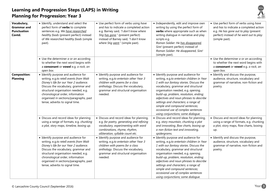

| Vocabulary,                                        | • Identify, understand and select the                                                                                                                                                                                                                                                                                   | • Use perfect form of verbs using have                                                                                                                                                                   | • Independently, edit and improve own                                                                                                                                                                                                                                                                                                                                                                                                               | • Use perfect form of verbs using have                                                                                                          |
|----------------------------------------------------|-------------------------------------------------------------------------------------------------------------------------------------------------------------------------------------------------------------------------------------------------------------------------------------------------------------------------|----------------------------------------------------------------------------------------------------------------------------------------------------------------------------------------------------------|-----------------------------------------------------------------------------------------------------------------------------------------------------------------------------------------------------------------------------------------------------------------------------------------------------------------------------------------------------------------------------------------------------------------------------------------------------|-------------------------------------------------------------------------------------------------------------------------------------------------|
| <b>Grammar and</b><br><b>Punctuation</b><br>Contd. | perfect form of <b>verbs</b> to complete<br>sentences e.g. We have researched<br>healthy foods (present perfect) instead<br>of We researched healthy foods (simple<br>past).                                                                                                                                            | and has to indicate a completed action<br>e.g. Barney said, "I don't know where<br>Stig has gone." (present perfect)<br>instead of Barney said, "I don't know<br>where Stig went." (simple past).        | writing by using the perfect form of<br>verbs where appropriate such as when<br>writing dialogue in narrative and play<br>scripts e.g.<br>Roman Soldier: He has disappeared,<br>Sire! (present perfect) instead of<br>Roman Soldier: He disappeared, Sire!<br>(simple past).                                                                                                                                                                        | and has to indicate a completed action<br>e.g. He has gone out to play (present<br>perfect) instead of he went out to play<br>(simple past).    |
|                                                    | $\bullet$ Use the determiner $a$ or $an$ according<br>to whether the next word begins with<br>a consonant or vowel e.g. a rock, an<br>open box.                                                                                                                                                                         |                                                                                                                                                                                                          |                                                                                                                                                                                                                                                                                                                                                                                                                                                     | $\bullet$ Use the determiner $a$ or $an$ according<br>to whether the next word begins with<br>a consonant or vowel e.g. a rock, an<br>open box. |
| <b>Composition:</b><br><b>Planning</b>             | • Identify purpose and audience for<br>writing, e.g.to retell events from Walt<br>Disney's life for our Year 2 audience.<br>Discuss the vocabulary, grammar and<br>structural organisation needed, e.g.<br>chronological order, information<br>organised in sections/paragraphs, past<br>tense, adverbs to signal time. | • Identify purpose and audience for<br>writing, e.g.to entertain other Year 3<br>children with poems for a class<br>anthology. Discuss the vocabulary,<br>grammar and structural organisation<br>needed. | • Identify purpose and audience for<br>writing, e.g.to entertain children in Year<br>1 with our fantasy stories. Discuss the<br>vocabulary, grammar and structural<br>organisation needed, e.g. opening,<br>build-up, problem, resolution, ending;<br>adjectives and noun phrases to describe<br>settings and characters; a range of<br>simple and compound sentences;<br>occasional use of complex sentences<br>using conjunctions; some dialogue. | • Identify and discuss the purpose,<br>audience, structure, vocabulary and<br>grammar of narrative, non-fiction and<br>poetry.                  |
|                                                    | • Discuss and record ideas for planning<br>using a range of formats, e.g. chunking<br>a plot, story maps, timeline, boxing up.                                                                                                                                                                                          | • Discuss and record ideas for planning,<br>e.g. for poetry, generating and refining<br>vocabulary, experimenting with word<br>combinations, rhyme, rhythm,<br>alliteration, syllable count etc.         | • Discuss and record ideas for planning,<br>e.g. story mountain, chunking a plot<br>and innovating, flow charts, boxing up<br>a non-fiction text and innovating,<br>spidergrams.                                                                                                                                                                                                                                                                    | • Discuss and record ideas for planning<br>using a range of formats, e.g. chunking<br>a plot, story maps, flow charts, boxing<br>up.            |
|                                                    | • Identify purpose and audience for<br>writing, e.g.to retell events from Walt<br>Disney's life for our Year 2 audience.<br>Discuss the vocabulary, grammar and<br>structural organisation needed, e.g.<br>chronological order, information<br>organised in sections/paragraphs, past<br>tense, adverbs to signal time. | • Identify purpose and audience for<br>writing, e.g.to entertain other Year 3<br>children with poems for a class<br>anthology. Discuss the vocabulary,<br>grammar and structural organisation<br>needed. | • Identify purpose and audience for<br>writing, e.g.to entertain children in Year<br>1 with our fantasy stories. Discuss the<br>vocabulary, grammar and structural<br>organisation needed, e.g. opening,<br>build-up, problem, resolution, ending;<br>adjectives and noun phrases to describe<br>settings and characters; a range of<br>simple and compound sentences;<br>occasional use of complex sentences<br>using conjunctions; some dialogue. | • Identify and discuss the purpose,<br>audience, structure, vocabulary and<br>grammar of narrative, non-fiction and<br>poetry.                  |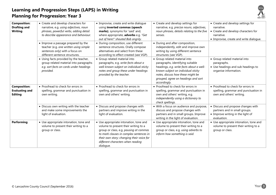

| <b>Composition:</b><br><b>Drafting and</b><br><b>Writing</b>   | • Create and develop characters for<br>narrative, e.g. using adjectives, noun<br>phrases, powerful verbs, adding detail<br>to describe appearance and behaviour.<br>• Improve a passage prepared by the<br>teacher (e.g. one written using simple<br>sentences only) with a focus on<br>different sentence structures. | • Improvise, create and write dialogue<br>using inverted commas (speech<br>marks), synonyms for 'said' and,<br>where appropriate, adverbs e.g. "Get<br>out of here!" shouted Bob angrily.<br>• During composition, use different<br>sentence structures. Orally compose<br>alternatives and select from these<br>according to effect created (see VGP). | • Create and develop settings for<br>narrative, e.g. precise nouns, adjectives,<br>noun phrases, details relating to the five<br>senses.<br>• During and after composition,<br>independently, edit and improve own<br>writing by using different sentence<br>structures (see VGP). | • Create and develop settings for<br>narrative.<br>• Create and develop characters for<br>narrative.<br>• Improvise, create and write dialogue. |
|----------------------------------------------------------------|------------------------------------------------------------------------------------------------------------------------------------------------------------------------------------------------------------------------------------------------------------------------------------------------------------------------|---------------------------------------------------------------------------------------------------------------------------------------------------------------------------------------------------------------------------------------------------------------------------------------------------------------------------------------------------------|------------------------------------------------------------------------------------------------------------------------------------------------------------------------------------------------------------------------------------------------------------------------------------|-------------------------------------------------------------------------------------------------------------------------------------------------|
|                                                                | • Using facts provided by the teacher,<br>group related material into paragraphs<br>e.g. sort facts on cards under headings<br>provided.                                                                                                                                                                               | • Group related material into<br>paragraphs, e.g. write facts about a<br>well-known subject on individual sticky<br>notes and group these under headings<br>provided by the teacher.                                                                                                                                                                    | · Group related material into<br>paragraphs, identifying suitable<br>headings, e.g. write facts about a well-<br>known subject on individual sticky<br>notes, discuss how these might be<br>grouped, agree on headings and sort<br>accordingly.                                    | · Group related material into<br>paragraphs.<br>• Use headings and sub headings to<br>organise information.                                     |
| <b>Composition:</b><br><b>Evaluating and</b><br><b>Editing</b> | • Proofread to check for errors in<br>spelling, grammar and punctuation in<br>own writing.                                                                                                                                                                                                                             | • Proofread to check for errors in<br>spelling, grammar and punctuation in<br>own and others' writing.                                                                                                                                                                                                                                                  | • Proofread to check for errors in<br>spelling, grammar and punctuation in<br>own and others' writing, e.g.<br>independently using a dictionary to<br>check spellings.                                                                                                             | • Proofread to check for errors in<br>spelling, grammar and punctuation in<br>own and others' writing.                                          |
|                                                                | • Discuss own writing with the teacher<br>and make some improvements the<br>light of evaluation.                                                                                                                                                                                                                       | • Discuss and propose changes with<br>partners and improve writing in the<br>light of evaluation.                                                                                                                                                                                                                                                       | • With a focus on audience and purpose,<br>discuss and propose changes with<br>partners and in small groups. Improve<br>writing in the light of evaluation.                                                                                                                        | • Discuss and propose changes with<br>partners and in small groups.<br>• Improve writing in the light of<br>evaluation.                         |
| Performing                                                     | • Use appropriate intonation, tone and<br>volume to present their writing to a<br>group or class.                                                                                                                                                                                                                      | • Use appropriate intonation, tone and<br>volume to present their writing to a<br>group or class, e.g. pausing at commas<br>to mark clauses in complex sentences in<br>their own story; changing their voice for<br>different characters when reading<br>dialogue.                                                                                      | • Use appropriate intonation, tone and<br>volume to present their writing to a<br>group or class, e.g. using adverbs to<br>inform how something is said.                                                                                                                           | • Use appropriate intonation, tone and<br>volume to present their writing to a<br>group or class.                                               |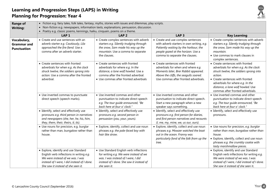

| <b>Range of</b>                                         |                                                                                                                                                                                                           | • Fiction e.g. fairy tales, folk tales, fantasy, myths, stories with issues and dilemmas, play scripts.                                                                                   |                                                                                                                                                                                                  |                                                                                                                                                                                                                                                                                |
|---------------------------------------------------------|-----------------------------------------------------------------------------------------------------------------------------------------------------------------------------------------------------------|-------------------------------------------------------------------------------------------------------------------------------------------------------------------------------------------|--------------------------------------------------------------------------------------------------------------------------------------------------------------------------------------------------|--------------------------------------------------------------------------------------------------------------------------------------------------------------------------------------------------------------------------------------------------------------------------------|
| <b>Writing:</b>                                         |                                                                                                                                                                                                           | • Non-fiction e.g. newspapers, information texts, explanations, persuasion, discussion.                                                                                                   |                                                                                                                                                                                                  |                                                                                                                                                                                                                                                                                |
|                                                         | • Poetry e.g. classic poems, kennings, haiku, cinquain, poems on a theme.                                                                                                                                 |                                                                                                                                                                                           |                                                                                                                                                                                                  |                                                                                                                                                                                                                                                                                |
|                                                         | LAP <sub>1</sub>                                                                                                                                                                                          | LAP <sub>2</sub>                                                                                                                                                                          | LAP <sub>3</sub>                                                                                                                                                                                 | <b>Key Learning</b>                                                                                                                                                                                                                                                            |
| Vocabulary,<br><b>Grammar and</b><br><b>Punctuation</b> | • Create and use sentences with an<br>adverb starter e.g. Cautiously, Lila<br>approached the fire fiend. Use a<br>comma after an adverb starter.                                                          | • Create complex sentences with adverb<br>starters e.g. Silently trudging through<br>the snow, Sam made his way up the<br>mountain. Use a comma to separate<br>the clauses.               | • Create and use complex sentences<br>with adverb starters in own writing, e.g.<br>Patiently waiting by the harbour, the<br>people gazed at the horizon. Use a<br>comma to separate the clauses. | • Create complex sentences with adverb<br>starters e.g. Silently trudging through<br>the snow, Sam made his way up the<br>mountain.<br>• Use commas to mark clauses in<br>complex sentences.                                                                                   |
|                                                         | • Create sentences with fronted<br>adverbials for when e.g. As the clock<br>struck twelve, the soldiers sprang into<br>action. Use a comma after the fronted<br>adverbial.                                | • Create sentences with fronted<br>adverbials for where e.g. In the<br>distance, a lone wolf howled. Use a<br>comma after the fronted adverbial.<br>• Use commas after fronted adverbials | • Create sentences with fronted<br>adverbials for when and where e.g.<br>Moments later, Brer Rabbit appeared.<br>Above the cliffs, the seagulls soared.<br>Use commas after fronted adverbials.  | • Create sentences with fronted<br>adverbials for when e.g. As the clock<br>struck twelve, the soldiers sprang into<br>action.<br>• Create sentences with fronted<br>adverbials for where e.g. In the<br>distance, a lone wolf howled. Use<br>commas after fronted adverbials. |
|                                                         | • Use inverted commas to punctuate<br>direct speech (speech marks).                                                                                                                                       | • Use inverted commas and other<br>punctuation to indicate direct speech<br>e.g. The tour guide announced, "Be<br>back here at four o' clock."                                            | • Use inverted commas and other<br>punctuation to indicate direct speech.<br>Start a new paragraph when a new<br>speaker says something.                                                         | • Use inverted commas and other<br>punctuation to indicate direct speech<br>e.g. The tour guide announced, "Be<br>back here at four o' clock."                                                                                                                                 |
|                                                         | • Identify, select and effectively use<br>pronouns e.g. third person in narratives<br>and newspapers (she, her, he, his, him,<br>they, them, their, theirs, it, its).                                     | • Identify, select and effectively use<br>pronouns e.g. second person in<br>persuasion (you, your, yours).                                                                                | · Identify, select and effectively use<br>pronouns e.g. first person for diaries,<br>and first person narratives and recounts<br>(l, me, my, mine, we, us our, ours).                            | • Identify, select and effectively use<br>pronouns.                                                                                                                                                                                                                            |
|                                                         | · Use nouns for precision, e.g. burglar<br>rather than man, bungalow rather than<br>house.                                                                                                                | • Explore, identify, collect and use noun<br>phrases e.g. the pale-faced boy with<br>hair like straw.                                                                                     | • Explore, identify, collect and use noun<br>phrases e.g. Mowzer watched the boat<br>out in the ocean. Franny was<br>particularly fond of the folk from up the<br>tree.                          | • Use nouns for precision, e.g. burglar<br>rather than man, bungalow rather than<br>house.<br>• Explore, identify, collect and use noun<br>phrases e.g. the crumbly cookie with<br>tasty marshmallow pieces.                                                                   |
|                                                         | • Explore, identify and use Standard<br>English verb inflections in writing e.g.<br>We were instead of we was. I was<br>instead of I were, I did instead of I done.<br>She saw it instead of she seen it. | • Use Standard English verb inflections<br>for writing e.g. We were instead of we<br>was. I was instead of I were, I did<br>instead of I done. She saw it instead of<br>she seen it.      |                                                                                                                                                                                                  | • Explore, identify and use Standard<br>English verb inflections for writing e.g.<br>We were instead of we was. I was<br>instead of I were, I did instead of I done.<br>She saw it instead of she seen it.                                                                     |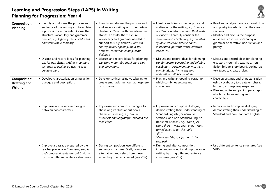

| <b>Composition:</b><br><b>Planning</b>                       | • Identify and discuss the purpose and<br>audience of the writing e.g. to explain<br>a process to our parents. Discuss the<br>structure, vocabulary and grammar<br>needed, e.g. logically sequenced steps<br>and technical vocabulary. | • Identify and discuss the purpose and<br>audience for writing, e.g. to entertain<br>children in Year 3 with our adventure<br>stories. Consider the structure,<br>vocabulary and grammar needed to<br>support this, e.g. powerful verbs to<br>convey action; opening, build-up,<br>problem, resolution ending, some<br>dialogue. | • Identify and discuss the purpose and<br>audience for the writing, e.g. to make<br>our Year 2 readers stop and think with<br>our poems. Carefully consider the<br>structure and vocabulary, e.g. counted<br>syllable structure, precise nouns,<br>alliteration, powerful verbs, effective<br>adjectives.                         | • Read and analyse narrative, non-fiction<br>and poetry in order to plan their own<br>versions.<br>• Identify and discuss the purpose,<br>audience, structure, vocabulary and<br>grammar of narrative, non-fiction and<br>poetry. |
|--------------------------------------------------------------|----------------------------------------------------------------------------------------------------------------------------------------------------------------------------------------------------------------------------------------|----------------------------------------------------------------------------------------------------------------------------------------------------------------------------------------------------------------------------------------------------------------------------------------------------------------------------------|-----------------------------------------------------------------------------------------------------------------------------------------------------------------------------------------------------------------------------------------------------------------------------------------------------------------------------------|-----------------------------------------------------------------------------------------------------------------------------------------------------------------------------------------------------------------------------------|
|                                                              | • Discuss and record ideas for planning<br>e.g. for non-fiction writing, creating a<br>text map or boxing-up text types to<br>create a plan.                                                                                           | • Discuss and record ideas for planning<br>e.g. story mountain, chunking a plot<br>and innovating.                                                                                                                                                                                                                               | • Discuss and record ideas for planning<br>e.g. for poetry, generating and refining<br>vocabulary, experimenting with word<br>combinations, rhyme, rhythm,<br>alliteration, syllable count etc.                                                                                                                                   | · Discuss and record ideas for planning<br>e.g. story mountain, text map, non-<br>fiction bridge, story board, boxing-up<br>text types to create a plan.                                                                          |
| <b>Composition:</b><br><b>Drafting and</b><br><b>Writing</b> | • Develop characterisation using action,<br>dialogue and description.                                                                                                                                                                  | • Develop settings using vocabulary to<br>create emphasis, humour, atmosphere,<br>or suspense.                                                                                                                                                                                                                                   | • Plan and write an opening paragraph<br>which combines setting and<br>character/s.                                                                                                                                                                                                                                               | • Develop settings and characterisation<br>using vocabulary to create emphasis,<br>humour, atmosphere, suspense.<br>• Plan and write an opening paragraph<br>which combines setting and<br>character/s.                           |
|                                                              | • Improvise and compose dialogue<br>between two characters.                                                                                                                                                                            | • Improvise and compose dialogue to<br>show, or give clues about how a<br>character is feeling, e.g. 'You're<br>dishonest and ungrateful!' shouted the<br>Pied Piper.                                                                                                                                                            | • Improvise and compose dialogue,<br>demonstrating their understanding of<br>Standard English (for narrative<br>sections) and non-Standard English<br>(for some speech), e.g. "Don't just<br>stand there - wash your 'ands." Mum<br>turned away to lay the table.<br>" $Eh$ ?"<br>"Don't say 'eh', say 'pardon'," she<br>snapped. | • Improvise and compose dialogue,<br>demonstrating their understanding of<br>Standard and non-Standard English.                                                                                                                   |
|                                                              | • Improve a passage prepared by the<br>teacher (e.g. one written using simple<br>and compound sentences only) with a<br>focus on different sentence structures.                                                                        | · During composition, use different<br>sentence structures. Orally compose<br>alternatives and select from these<br>according to effect created (see VGP).                                                                                                                                                                       | • During and after composition,<br>independently, edit and improve own<br>writing by using different sentence<br>structures (see VGP).                                                                                                                                                                                            | • Use different sentence structures (see<br>VGP).                                                                                                                                                                                 |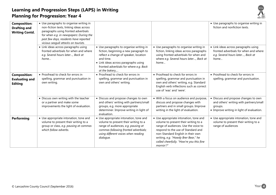

| <b>Composition:</b><br><b>Drafting and</b><br><b>Writing Contd.</b> | • Use paragraphs to organise writing in<br>non-fiction texts, linking ideas across<br>paragraphs using fronted adverbials<br>for when e.g. in newspapers: During the<br>past few days, residents have reported<br>vicious seagull attacks on tourists. |                                                                                                                                                                                                                                            |                                                                                                                                                                                                                                                                                                   | • Use paragraphs to organise writing in<br>fiction and nonfiction texts.                                                                |
|---------------------------------------------------------------------|--------------------------------------------------------------------------------------------------------------------------------------------------------------------------------------------------------------------------------------------------------|--------------------------------------------------------------------------------------------------------------------------------------------------------------------------------------------------------------------------------------------|---------------------------------------------------------------------------------------------------------------------------------------------------------------------------------------------------------------------------------------------------------------------------------------------------|-----------------------------------------------------------------------------------------------------------------------------------------|
|                                                                     | • Link ideas across paragraphs using<br>fronted adverbials for when and where<br>e.g. Several hours later, Back at<br>home                                                                                                                             | • Use paragraphs to organise writing in<br>fiction, beginning a new paragraph to<br>reflect a change of speaker, location<br>and time.<br>• Link ideas across paragraphs using<br>fronted adverbials for where e.g. Back<br>at the bakery, | • Use paragraphs to organise writing in<br>fiction, linking ideas across paragraphs<br>using fronted adverbials for when and<br>where e.g. Several hours later, Back at<br>home                                                                                                                   | • Link ideas across paragraphs using<br>fronted adverbials for when and where<br>e.g. Several hours later, Back at<br>home              |
| <b>Composition:</b><br><b>Evaluating and</b><br><b>Editing</b>      | • Proofread to check for errors in<br>spelling, grammar and punctuation in<br>own writing.                                                                                                                                                             | • Proofread to check for errors in<br>spelling, grammar and punctuation in<br>own and others' writing.                                                                                                                                     | • Proofread to check for errors in<br>spelling, grammar and punctuation in<br>own and others' writing, e.g. Standard<br>English verb inflections such as correct<br>use of 'was' and 'were'.                                                                                                      | • Proofread to check for errors in<br>spelling, grammar and punctuation.                                                                |
|                                                                     | • Discuss own writing with the teacher<br>or a partner and make some<br>improvements the light of evaluation.                                                                                                                                          | • Discuss and propose changes to own<br>and others' writing with partners/small<br>groups, e.g. more appropriate<br>determiner. Improve writing in light of<br>evaluation.                                                                 | • With a focus on audience and purpose,<br>discuss and propose changes with<br>partners and in small groups. Improve<br>writing in the light of evaluation.                                                                                                                                       | • Discuss and propose changes to own<br>and others' writing with partners/small<br>groups.<br>• Improve writing in light of evaluation. |
| <b>Performing</b>                                                   | • Use appropriate intonation, tone and<br>volume to present their writing to a<br>group or class, e.g. pausing at commas<br>which follow adverbs.                                                                                                      | • Use appropriate intonation, tone and<br>volume to present their writing to a<br>range of audiences, e.g. pausing at<br>commas following fronted adverbials;<br>using different voices when reading<br>dialogue.                          | • Use appropriate intonation, tone and<br>volume to present their writing to a<br>range of audiences. Use the voice to<br>respond to the use of Standard and<br>non-Standard English in their own<br>writing, e.g. "Howdy Brer Bear," he<br>called cheerfully. "How're you this fine<br>mornin'?" | • Use appropriate intonation, tone and<br>volume to present their writing to a<br>range of audiences                                    |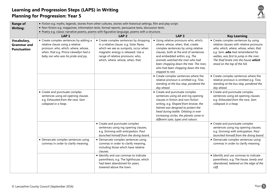

| <b>Range of</b><br><b>Writing:</b>                      | • Fiction e.g. myths, legends, stories from other cultures, stories with historical settings, film and play script.<br>. Non-fiction e.g. magazines, information texts, formal reports, persuasive texts, discussion texts.<br>. Poetry e.g. classic narrative poems, poems with figurative language, poems with a structure. |                                                                                                                                                                                                                                          |                                                                                                                                                                                                                                                                                                                                    |                                                                                                                                                                                                                                                                                 |
|---------------------------------------------------------|-------------------------------------------------------------------------------------------------------------------------------------------------------------------------------------------------------------------------------------------------------------------------------------------------------------------------------|------------------------------------------------------------------------------------------------------------------------------------------------------------------------------------------------------------------------------------------|------------------------------------------------------------------------------------------------------------------------------------------------------------------------------------------------------------------------------------------------------------------------------------------------------------------------------------|---------------------------------------------------------------------------------------------------------------------------------------------------------------------------------------------------------------------------------------------------------------------------------|
|                                                         | LAP <sub>1</sub>                                                                                                                                                                                                                                                                                                              | LAP <sub>2</sub>                                                                                                                                                                                                                         | LAP <sub>3</sub>                                                                                                                                                                                                                                                                                                                   | <b>Key Learning</b>                                                                                                                                                                                                                                                             |
| Vocabulary,<br><b>Grammar</b> and<br><b>Punctuation</b> | • Create complex sentences by adding a<br>relative clause using a relative<br>pronoun: who, which, where, whose,<br>when, that e.g. Prince Llewellyn had a<br>baby son who was his pride and joy.                                                                                                                             | • Create complex sentences by dropping<br>in a relative clause. e.g. Solar flares,<br>which we see as sunspots, occur when<br>magnetic energy is released. Use a<br>range of relative pronouns: who,<br>which, where, whose, when, that. | • Using relative pronouns who, which,<br>where, whose, when, that, create<br>complex sentences by using relative<br>clauses, both at the end of sentences<br>and embedded within, e.g. The<br>animals watched the man who had<br>been chopping down the tree. The man,<br>who had been chopping down the tree,<br>stopped to rest. | • Create complex sentences by using<br>relative clauses with relative pronouns<br>who, which, where, whose, when, that<br>e.g. Sam, who had remembered his<br>wellies, was first to jump in the river.<br>The thief broke into the house which<br>stood on the top of the hill. |
|                                                         |                                                                                                                                                                                                                                                                                                                               |                                                                                                                                                                                                                                          | • Create complex sentences where the<br>relative pronoun is omitted e.g. Tina,<br>standing at the bus stop, pondered the<br>day ahead.                                                                                                                                                                                             | • Create complex sentences where the<br>relative pronoun is omitted e.g. Tina,<br>standing at the bus stop, pondered the<br>day ahead.                                                                                                                                          |
|                                                         | • Create and punctuate complex<br>sentences using ed opening clauses<br>e.g. Exhausted from the race, Sam<br>collapsed in a heap.                                                                                                                                                                                             |                                                                                                                                                                                                                                          | • Create and punctuate complex<br>sentences using ed and ing opening<br>clauses in fiction and non-fiction<br>writing, e.g. Shaped from bronze, the<br>helmet was designed to protect the<br>head during battle. Orbiting in ever<br>increasing circles, the planets come in<br>different sizes, types and colours.                | • Create and punctuate complex<br>sentences using ed opening clauses<br>e.g. Exhausted from the race, Sam<br>collapsed in a heap.                                                                                                                                               |
|                                                         |                                                                                                                                                                                                                                                                                                                               | • Create and punctuate complex<br>sentences using ing opening clauses,<br>e.g. Grinning with anticipation, Paul<br>launched himself from the diving board.                                                                               |                                                                                                                                                                                                                                                                                                                                    | • Create and punctuate complex<br>sentences using ing opening clauses,<br>e.g. Grinning with anticipation, Paul<br>launched himself from the diving board.                                                                                                                      |
|                                                         | • Demarcate complex sentences using<br>commas in order to clarify meaning.                                                                                                                                                                                                                                                    | • Demarcate complex sentences using<br>commas in order to clarify meaning,<br>including those which have relative<br>clauses.                                                                                                            |                                                                                                                                                                                                                                                                                                                                    | • Demarcate complex sentences using<br>commas in order to clarify meaning.                                                                                                                                                                                                      |
|                                                         |                                                                                                                                                                                                                                                                                                                               | • Identify and use commas to indicate<br>parenthesis, e.g. The lighthouse, which<br>had been abandoned for years,<br>towered above the town.                                                                                             |                                                                                                                                                                                                                                                                                                                                    | • Identify and use commas to indicate<br>parenthesis, e.g. The house, lonely and<br>abandoned, teetered on the edge of the<br>cliff.                                                                                                                                            |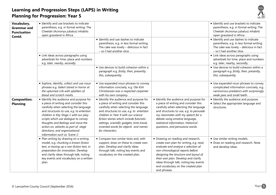

| Vocabulary,<br><b>Grammar</b> and<br><b>Punctuation</b><br>Contd. | • Identify and use brackets to indicate<br>parenthesis, e.g. in formal writing: The<br>Cheetah (Acinonyx jubatus) inhabits<br>open grassland in Africa.<br>• Link ideas across paragraphs using                                                                                                                                                                                                        | • Identify and use dashes to indicate<br>parenthesis, e.g. in less formal writing:<br>The cake was lovely - delicious in fact<br>- so I had another slice.                                                                                                                                                                                                       |                                                                                                                                                                                                                                                                                                                                         | • Identify and use brackets to indicate<br>parenthesis, e.g. in formal writing: The<br>Cheetah (Acinonyx jubatus) inhabits<br>open grassland in Africa<br>• Identify and use dashes to indicate<br>parenthesis, e.g. in less formal writing:<br>The cake was lovely - delicious in fact<br>- so I had another slice.<br>• Link ideas across paragraphs using |
|-------------------------------------------------------------------|--------------------------------------------------------------------------------------------------------------------------------------------------------------------------------------------------------------------------------------------------------------------------------------------------------------------------------------------------------------------------------------------------------|------------------------------------------------------------------------------------------------------------------------------------------------------------------------------------------------------------------------------------------------------------------------------------------------------------------------------------------------------------------|-----------------------------------------------------------------------------------------------------------------------------------------------------------------------------------------------------------------------------------------------------------------------------------------------------------------------------------------|--------------------------------------------------------------------------------------------------------------------------------------------------------------------------------------------------------------------------------------------------------------------------------------------------------------------------------------------------------------|
|                                                                   | adverbials for time, place and numbers<br>e.g. later, nearby, secondly.                                                                                                                                                                                                                                                                                                                                | • Use devices to build cohesion within a<br>paragraph e.g. firstly, then, presently,<br>this, subsequently.                                                                                                                                                                                                                                                      |                                                                                                                                                                                                                                                                                                                                         | adverbials for time, place and numbers<br>e.g. later, nearby, secondly.<br>• Use devices to build cohesion within a<br>paragraph e.g. firstly, then, presently,<br>this, subsequently.                                                                                                                                                                       |
|                                                                   | • Explore, identify, collect and use noun<br>phrases e.g. Gelert stared in horror at<br>the upturned crib with splatters of<br>blood and scratch marks.                                                                                                                                                                                                                                                | • Use expanded noun phrases to convey<br>information concisely, e.g. Ole Kirk<br>Christiansen was a respected carpenter<br>with his own company.                                                                                                                                                                                                                 |                                                                                                                                                                                                                                                                                                                                         | • Use expanded noun phrases to convey<br>complicated information concisely, e.g.<br>carnivorous predators with surprisingly<br>weak jaws and small teeth.                                                                                                                                                                                                    |
| <b>Composition:</b><br><b>Planning</b>                            | • Identify the audience and purpose for<br>a piece of writing and consider this<br>carefully when selecting the language<br>and structures to use, e.g. to entertain<br>children in Key Stage 1 with our play<br>scripts which use dialogue to convey<br>thoughts and feelings and move the<br>action on, adverbs as part of stage<br>directions, and organisational<br>information such as 'Scene 1'. | • Identify the audience and purpose for<br>a piece of writing and consider this<br>carefully when selecting the language<br>and structures to use, e.g. to entertain<br>children in Year 4 with our science<br>fiction stories which include futuristic<br>settings, scientific gadgets, time travel,<br>invented words for objects and names<br>for characters. | • Identify the audience and purpose for<br>a piece of writing and consider this<br>carefully when selecting the language<br>and structures to use, e.g. to persuade<br>my classmates with my speech for a<br>debate using emotive language,<br>statistical information, rhetorical<br>questions, and persuasive words.                  | • Identify the audience and purpose.<br>• Select the appropriate language and<br>structures.                                                                                                                                                                                                                                                                 |
|                                                                   | • Plan writing by drawing on a writing<br>model, e.g. chunking a known fiction<br>text, or boxing up a non-fiction text, in<br>preparation for innovation. Develop<br>and clarify ideas through talk, noting<br>key events and vocabulary on a written<br>plan.                                                                                                                                        | • Compare two similar texts and, with<br>support, draw on these to create own<br>plan. Develop and clarify ideas<br>through talk, noting key events and<br>vocabulary on the created plan.                                                                                                                                                                       | • Drawing on reading and research,<br>create own plan for writing, e.g. read,<br>evaluate and analyse a selection of<br>non-chronological reports before<br>designing the structure and layout of<br>their own plan. Develop and clarify<br>ideas through talk, noting key events<br>and vocabulary on the created plan<br>and phrases. | • Use similar writing models.<br>• Draw on reading and research. Note<br>and develop ideas.                                                                                                                                                                                                                                                                  |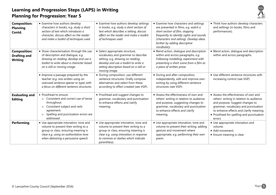

| <b>Composition:</b><br><b>Planning</b><br>Contd.             | • Examine how authors develop<br>characters in books, e.g. study a short<br>section of text which introduces a<br>character, discuss effect on the reader                                               | • Examine how authors develop settings<br>in books, e.g. study a short section of<br>text which describes a setting, discuss<br>effect on the reader and make a toolkit                                                | • Examine how characters and settings<br>are presented in films, e.g. watch a<br>short section of film, stopping<br>frequently to identify sights and sounds                                                | • Think how authors develop characters<br>and settings (in books, films and<br>performances).                                                                                                                                                               |
|--------------------------------------------------------------|---------------------------------------------------------------------------------------------------------------------------------------------------------------------------------------------------------|------------------------------------------------------------------------------------------------------------------------------------------------------------------------------------------------------------------------|-------------------------------------------------------------------------------------------------------------------------------------------------------------------------------------------------------------|-------------------------------------------------------------------------------------------------------------------------------------------------------------------------------------------------------------------------------------------------------------|
|                                                              | and make a toolkit of techniques used.                                                                                                                                                                  | of techniques used.                                                                                                                                                                                                    | (characters and setting). Develop ideas<br>further by adding descriptive<br>vocabulary.                                                                                                                     |                                                                                                                                                                                                                                                             |
| <b>Composition:</b><br><b>Drafting and</b><br><b>Writing</b> | • Show characterisation through the use<br>of description and dialogue, e.g.<br>drawing on reading, develop and use a<br>toolkit to write about a character based<br>on a still or moving image.        | • Select appropriate structure,<br>vocabulary and grammar to describe<br>setting, e.g. drawing on reading,<br>develop and use a toolkit to write a<br>setting description based on a still or<br>moving image.         | • Blend action, dialogue and description<br>within and across paragraphs, e.g.<br>Following modelling, experiment with<br>presenting a short scene from a film as<br>a piece of written prose.              | • Blend action, dialogue and description<br>within and across paragraphs.                                                                                                                                                                                   |
|                                                              | • Improve a passage prepared by the<br>teacher (e.g. one written using an<br>overused sentence opener or type) with<br>a focus on different sentence structures.                                        | • During composition, use different<br>sentence structures. Orally compose<br>alternatives and select from these<br>according to effect created (see VGP).                                                             | • During and after composition,<br>independently, edit and improve own<br>writing by using different sentence<br>structures (see VGP).                                                                      | • Use different sentence structures with<br>increasing control (see VGP)                                                                                                                                                                                    |
| <b>Evaluating and</b><br><b>Editing</b>                      | • Proofread to ensure:<br>Consistent and correct use of tense<br>$\circ$<br>throughout.<br>Consistent subject and verb<br>$\circ$<br>agreement.<br>Spelling and punctuation errors are<br>addressed.    | • Proofread and suggest changes to<br>grammar, vocabulary and punctuation<br>to enhance effects and clarify<br>meaning.                                                                                                | • Assess the effectiveness of own and<br>others' writing in relation to audience<br>and purpose, suggesting changes to<br>grammar, vocabulary and punctuation<br>to enhance effects and clarify<br>meaning. | • Assess the effectiveness of own and<br>others' writing in relation to audience<br>and purpose. Suggest changes to<br>grammar, vocabulary and punctuation<br>to enhance effects and clarify meaning.<br>• Proofread for spelling and punctuation<br>errors |
| <b>Performing</b>                                            | • Use appropriate intonation, tone and<br>volume to present their writing to a<br>group or class, ensuring meaning is<br>clear e.g. using an authoritative tone<br>when delivering a persuasive speech. | • Use appropriate intonation, tone and<br>volume to present their writing to a<br>group or class, ensuring meaning is<br>clear e.g. using intonation in response<br>to commas or dashes which indicate<br>parenthesis. | • Use appropriate intonation, tone and<br>volume to present their writing, adding<br>gesture and movement where<br>appropriate, e.g. performing their own<br>poem.                                          | • Use appropriate intonation and<br>volume.<br>• Add movement.<br>• Ensure meaning is clear.                                                                                                                                                                |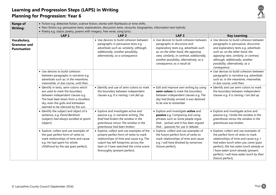

| <b>Range of</b><br><b>Writing:</b>                      | • Fiction e.g. detective fiction, science fiction, stories with flashbacks or time shifts.<br>· Non-fiction e.g. persuasive texts, explanations, discussion texts, recounts, biographies, information text hybrids.<br>• Poetry e.g. classic poetry, poems with imagery, free verse, song lyrics. |                                                                                                                                                                                                                                                       |                                                                                                                                                                                                                                                                                     |                                                                                                                                                                                                                                                                                                                   |
|---------------------------------------------------------|---------------------------------------------------------------------------------------------------------------------------------------------------------------------------------------------------------------------------------------------------------------------------------------------------|-------------------------------------------------------------------------------------------------------------------------------------------------------------------------------------------------------------------------------------------------------|-------------------------------------------------------------------------------------------------------------------------------------------------------------------------------------------------------------------------------------------------------------------------------------|-------------------------------------------------------------------------------------------------------------------------------------------------------------------------------------------------------------------------------------------------------------------------------------------------------------------|
|                                                         | LAP <sub>1</sub>                                                                                                                                                                                                                                                                                  | LAP <sub>2</sub>                                                                                                                                                                                                                                      | LAP <sub>3</sub>                                                                                                                                                                                                                                                                    | <b>Key Learning</b>                                                                                                                                                                                                                                                                                               |
| Vocabulary,<br><b>Grammar and</b><br><b>Punctuation</b> |                                                                                                                                                                                                                                                                                                   | • Use devices to build cohesion between<br>paragraphs in persuasive texts e.g.<br>adverbials such as: similarly, although,<br>additionally, another possibility,<br>alternatively, as a consequence.                                                  | • Use devices to build cohesion between<br>paragraphs in discursive and<br>explanatory texts e.g. adverbials such<br>as: on the other hand, the opposing<br>view, similarly, in contrast, additionally,<br>another possibility, alternatively, as a<br>consequence, as a result of. | • Use devices to build cohesion between<br>paragraphs in persuasive, discursive<br>and explanatory texts e.g. adverbials<br>such as: on the other hand, the<br>opposing view, similarly, in contrast,<br>although, additionally, another<br>possibility, alternatively, as a<br>consequence.                      |
|                                                         | • Use devices to build cohesion<br>between paragraphs in narrative e.g.<br>adverbials such as: in the meantime,<br>meanwhile, in due course, until then.                                                                                                                                          |                                                                                                                                                                                                                                                       |                                                                                                                                                                                                                                                                                     | • Use devices to build cohesion between<br>paragraphs in narrative e.g. adverbials<br>such as: in the meantime, meanwhile,<br>in due course, until then.                                                                                                                                                          |
|                                                         | · Identify in texts, semi-colons which<br>are used to mark the boundary<br>between independent clauses e.g.<br>The heat beat down from a cloudless<br>sky; even the gulls and kittiwakes<br>seemed to be silenced by the sun.                                                                     | • Identify and use of semi-colons to mark<br>the boundary between independent<br>clauses e.g. It is raining; I am fed up.                                                                                                                             | • Edit and improve own writing by using<br>semi-colons to mark the boundary<br>between independent clauses e.g. The<br>day had finally arrived; it was destined<br>to be one to remember.                                                                                           | • Identify and use semi-colons to mark<br>the boundary between independent<br>clauses e.g. It is raining; I am fed up.                                                                                                                                                                                            |
|                                                         | • Identify the subject and object of a<br>sentence, e.g. David Beckham<br>(subject) had always excelled at sports<br>(object).                                                                                                                                                                    | • Explore and investigate active and<br>passive e.g. in narrative writing, The<br>thief had broken the window in the<br>greenhouse versus The window in the<br>greenhouse had been broken.                                                            | • Explore and investigate active and<br>passive e.g. Comparing and using<br>phrases such as Some people argue<br>that (active) and It has been argued<br>that (passive) for use in debate.                                                                                          | • Explore and investigate active and<br>passive e.g. I broke the window in the<br>greenhouse versus the window in the<br>greenhouse was broken.                                                                                                                                                                   |
|                                                         | • Explore, collect and use examples of<br>the past perfect form of verbs to<br>mark relationships of time and cause<br>e.g. He had spent his whole<br>childhood by the sea (past perfect).                                                                                                        | • Explore, collect and use examples of the<br>present perfect form of verbs to mark<br>relationships of time and cause e.g. The<br>culprit has left footprints across the<br>lawn or I have searched the crime scene<br>thoroughly (present perfect). | • Explore, collect and use examples of<br>the future perfect form of verbs to<br>mark relationships of time and cause<br>e.g. I will have finished by tomorrow<br>(future perfect).                                                                                                 | • Explore, collect and use examples of<br>the perfect form of verbs to mark<br>relationships of time and cause e.g. /<br>had eaten lunch when you came (past<br>perfect); She has eaten lunch already or<br>I have eaten lunch already (present<br>perfect); I will have eaten lunch by then<br>(future perfect). |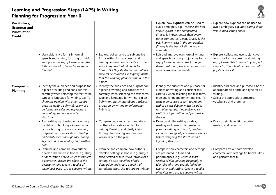

| Vocabulary,<br><b>Grammar and</b><br><b>Punctuation</b><br>Contd. |                                                                                                                                                                                                                                                                                                                                             |                                                                                                                                                                                                                                                                                                       | • Explore how hyphens can be used to<br>avoid ambiguity e.g. Tracey is the best-<br>known cyclist in the competition<br>(Tracey is known better than every<br>other competitor) versus Tracey is the<br>best known cyclist in the competition<br>(Tracey is the best of all the known<br>competitors).                                            | • Explore how hyphens can be used to<br>avoid ambiguity e.g. man eating shark<br>versus man-eating shark.                                                                                 |
|-------------------------------------------------------------------|---------------------------------------------------------------------------------------------------------------------------------------------------------------------------------------------------------------------------------------------------------------------------------------------------------------------------------------------|-------------------------------------------------------------------------------------------------------------------------------------------------------------------------------------------------------------------------------------------------------------------------------------------------------|---------------------------------------------------------------------------------------------------------------------------------------------------------------------------------------------------------------------------------------------------------------------------------------------------------------------------------------------------|-------------------------------------------------------------------------------------------------------------------------------------------------------------------------------------------|
|                                                                   | • Use subjunctive forms in formal<br>speech and writing, focusing on wish<br>and if- clauses e.g. If I were to win the<br>lottery, I would; I wish I were more<br>tolerant.                                                                                                                                                                 | • Explore, collect and use subjunctive<br>forms within formal speech and<br>writing, focusing on requests e.g. The<br>school requires that all pupils be<br>honest. His Majesty decrees that all his<br>subjects be counted. His Majesty insists<br>that the wedding planner remain in the<br>palace. | • Edit and improve own formal writing<br>and speech by using subjunctive forms<br>e.g. If I were to predict the future for<br>these creatures; The law requires that<br>zoos be inspected annually.                                                                                                                                               | • Explore, collect and use subjunctive<br>forms for formal speech and writing<br>e.g. If I were able to come to your party,<br>I would; The school requires that all<br>pupils be honest. |
| <b>Composition:</b><br><b>Planning</b>                            | • Identify the audience and purpose for<br>a piece of writing and consider this<br>carefully when selecting the text-form,<br>type and language for writing, e.g. To<br>share my opinion with other theatre-<br>goers by writing a formal review of a<br>performance, selecting appropriate<br>vocabulary, sentences and text<br>structure. | • Identify the audience and purpose for<br>a piece of writing and consider this<br>carefully when selecting the text-form,<br>type and language for writing, e.g. to<br>inform my classmates about a subject<br>or person by writing an information<br>hybrid text.                                   | • Identify the audience and purpose for<br>a piece of writing and consider this<br>carefully when selecting the text-form,<br>type and language for writing, e.g. To<br>write a persuasive speech to present<br>within a class debate which includes<br>formal language, the passive voice,<br>statistical information and persuasive<br>devices. | • Identify audience and purpose. Choose<br>appropriate text-form and type for all<br>writing.<br>• Select the appropriate structure,<br>vocabulary and grammar.                           |
|                                                                   | • Plan writing by drawing on a writing<br>model, e.g. chunking a known fiction<br>text or boxing up a non-fiction text, in<br>preparation for innovation. Develop<br>and clarify ideas through talk, noting<br>key ideas and vocabulary on a written<br>plan.                                                                               | • Compare two similar texts and draw<br>on these to create own plan for<br>writing. Develop and clarify ideas<br>through talk, noting key ideas and<br>vocabulary on the plan.                                                                                                                        | • Draw on similar writing models,<br>reading and research to create own<br>plan for writing, e.g. watch, read and<br>evaluate a range of persuasive speeches<br>before designing the structure and<br>layout of their own.                                                                                                                        | • Draw on similar writing models,<br>reading and research.                                                                                                                                |
|                                                                   | • Examine and compare how authors<br>develop characters in books, e.g. study<br>a short section of text which introduces<br>a character, discuss the effect of this<br>description and create a toolkit of<br>techniques used. Use to support writing.                                                                                      | • Examine and compare how authors<br>develop settings in books, e.g. study a<br>short section of text which introduces a<br>setting, discuss the effect of this<br>description and create a toolkit of<br>techniques used. Use to support writing.                                                    | • Compare how characters and settings<br>are presented in films and<br>performances, e.g. watch a short<br>section of film, pausing frequently to<br>identify sights and sounds linked to<br>character and setting. Create a toolkit<br>of devices and use to support writing.                                                                    | • Compare how authors develop<br>characters and settings (in books, films<br>and performances).                                                                                           |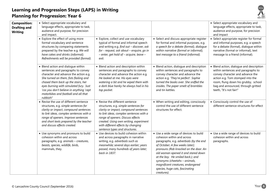

| <b>Composition:</b><br><b>Drafting and</b><br><b>Writing</b> | • Select appropriate vocabulary and<br>language effects, appropriate to task,<br>audience and purpose, for precision<br>and impact.<br>• Explore the effect of using more<br>formal vocabulary and sentence<br>structures by comparing statements                                                                                              | • Explore, collect and use vocabulary<br>typical of formal and informal speech<br>and writing e.g. find out - discover, ask                                                                                                                                                                                         | • Select and discuss appropriate register<br>for formal and informal purposes, e.g.<br>a speech for a debate (formal), dialogue                                                                                                                                                                                                                                                                 | • Select appropriate vocabulary and<br>language effects, appropriate to task,<br>audience and purpose, for precision<br>and impact<br>• Select appropriate register for formal<br>and informal purposes, e.g. a speech<br>for a debate (formal), dialogue within |
|--------------------------------------------------------------|------------------------------------------------------------------------------------------------------------------------------------------------------------------------------------------------------------------------------------------------------------------------------------------------------------------------------------------------|---------------------------------------------------------------------------------------------------------------------------------------------------------------------------------------------------------------------------------------------------------------------------------------------------------------------|-------------------------------------------------------------------------------------------------------------------------------------------------------------------------------------------------------------------------------------------------------------------------------------------------------------------------------------------------------------------------------------------------|------------------------------------------------------------------------------------------------------------------------------------------------------------------------------------------------------------------------------------------------------------------|
|                                                              | prepared by the teacher e.g. We will<br>have cakes and drinks (informal);<br>Refreshments will be provided (formal).                                                                                                                                                                                                                           | for - request, ask about - enquire, go in<br>$-$ enter, get hold of $-$ acquire, leave $-$<br>exit.                                                                                                                                                                                                                 | within narrative (formal or informal),<br>text message to a friend (informal).                                                                                                                                                                                                                                                                                                                  | narrative (formal or informal), text<br>message to a friend (informal).                                                                                                                                                                                          |
|                                                              | • Blend action and dialogue within<br>sentences and paragraphs to convey<br>character and advance the action e.g.<br>She turned on them, fists flailing and<br>chased them back up the stairs, her<br>eyes burning with simulated fury. 'Just<br>'cos you don't believe in anything 'cept<br>motorbikes and football and all that<br>rubbish!' | • Blend action and description within<br>sentences and paragraphs to convey<br>character and advance the action e.g.<br>He looked at me. His eyes were<br>watering a bit and he wiped them with<br>a dark blue hanky he always had in his<br>top pocket.                                                            | • Blend action, dialogue and description<br>within sentences and paragraphs to<br>convey character and advance the<br>action e.g. 'They're perfect'. Sophie<br>turned the books over. She sniffed the<br>insides. The paper smelt of brambles<br>and tin kettles.                                                                                                                               | • Blend action, dialogue and description<br>within sentences and paragraphs to<br>convey character and advance the<br>action e.g. Tom stomped into the<br>room, flung down his grubby, school<br>bag and announced, through gritted<br>teeth, "It's not fair!"   |
|                                                              | • Revise the use of different sentence<br>structures, e.g. simple sentences for<br>clarity or impact, compound sentences<br>to link ideas, complex sentences with a<br>range of openers. Improve sentences<br>and short texts prepared by the teacher<br>and discuss effects created.                                                          | • Revise the different sentence<br>structures, e.g. simple sentences for<br>clarity or impact, compound sentences<br>to link ideas, complex sentences with a<br>range of openers. Discuss effects<br>created. Using own writing, experiment<br>with different effects by changing<br>sentence types and structures. | • When writing and editing, consciously<br>control the use of different sentence<br>structures for effect.                                                                                                                                                                                                                                                                                      | • Consciously control the use of<br>different sentence structures for effect                                                                                                                                                                                     |
|                                                              | • Use synonyms and pronouns to build<br>cohesion within and across<br>paragraphs, e.g. animals - creatures,<br>beasts, species, wildlife, birds,<br>mammals, they.                                                                                                                                                                             | • Use devices to build cohesion within<br>and across paragraphs in narrative<br>writing, e.g. adverbials such as<br>meanwhile; several days earlier; years<br>passed, many hundreds of years later;<br>back in 1837.                                                                                                | • Use a wide range of devices to build<br>cohesion within and across<br>paragraphs, e.g. adverbials (by the end<br>of October; A few weeks later);<br>pronouns (Rob knocked on the door. An<br>old woman opened it and stared down<br>at the boy. He smiled back.); and<br>synonyms (cheetahs - animals,<br>magnificent creatures, endangered<br>species, huge cats, fascinating<br>creatures). | • Use a wide range of devices to build<br>cohesion within and across<br>paragraphs.                                                                                                                                                                              |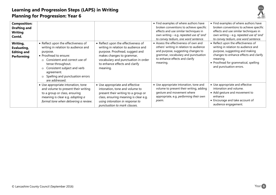

| <b>Composition:</b><br><b>Drafting and</b><br><b>Writing</b><br>Contd.<br>Writing,<br>Evaluating,<br><b>Editing and</b><br><b>Performing</b> | • Reflect upon the effectiveness of<br>writing in relation to audience and<br>purpose.<br>• Proofread to ensure:<br>Consistent and correct use of<br>$\circ$<br>tense throughout.<br>Consistent subject and verb<br>$\circ$<br>agreement.<br>Spelling and punctuation errors<br>$\circ$<br>are addressed. | • Reflect upon the effectiveness of<br>writing in relation to audience and<br>purpose. Proofread, suggest and<br>makes changes to grammar,<br>vocabulary and punctuation in order<br>to enhance effects and clarify<br>meaning. | • Find examples of where authors have<br>broken conventions to achieve specific<br>effects and use similar techniques in<br>own writing - e.g. repeated use of 'and'<br>to convey tedium, one word sentence.<br>• Assess the effectiveness of own and<br>others' writing in relation to audience<br>and purpose, suggesting changes to<br>grammar, vocabulary and punctuation<br>to enhance effects and clarify<br>meaning. | • Find examples of where authors have<br>broken conventions to achieve specific<br>effects and use similar techniques in<br>own writing - e.g. repeated use of 'and'<br>to convey tedium, one word sentence.<br>• Reflect upon the effectiveness of<br>writing in relation to audience and<br>purpose, suggesting and making<br>changes to enhance effects and clarify<br>meaning.<br>• Proofread for grammatical, spelling<br>and punctuation errors. |
|----------------------------------------------------------------------------------------------------------------------------------------------|-----------------------------------------------------------------------------------------------------------------------------------------------------------------------------------------------------------------------------------------------------------------------------------------------------------|---------------------------------------------------------------------------------------------------------------------------------------------------------------------------------------------------------------------------------|-----------------------------------------------------------------------------------------------------------------------------------------------------------------------------------------------------------------------------------------------------------------------------------------------------------------------------------------------------------------------------------------------------------------------------|--------------------------------------------------------------------------------------------------------------------------------------------------------------------------------------------------------------------------------------------------------------------------------------------------------------------------------------------------------------------------------------------------------------------------------------------------------|
|                                                                                                                                              | • Use appropriate intonation, tone<br>and volume to present their writing<br>to a group or class, ensuring<br>meaning is clear e.g. adopting a<br>formal tone when delivering a review.                                                                                                                   | • Use appropriate and effective<br>intonation, tone and volume to<br>present their writing to a group or<br>class, ensuring meaning is clear e.g.<br>using intonation in response to<br>punctuation to mark clauses.            | • Use appropriate intonation, tone and<br>volume to present their writing, adding<br>gesture and movement where<br>appropriate, e.g. performing their own<br>роет.                                                                                                                                                                                                                                                          | • Use appropriate and effective<br>intonation and volume.<br>• Add gesture and movement to<br>enhance<br>• Encourage and take account of<br>audience engagement.                                                                                                                                                                                                                                                                                       |